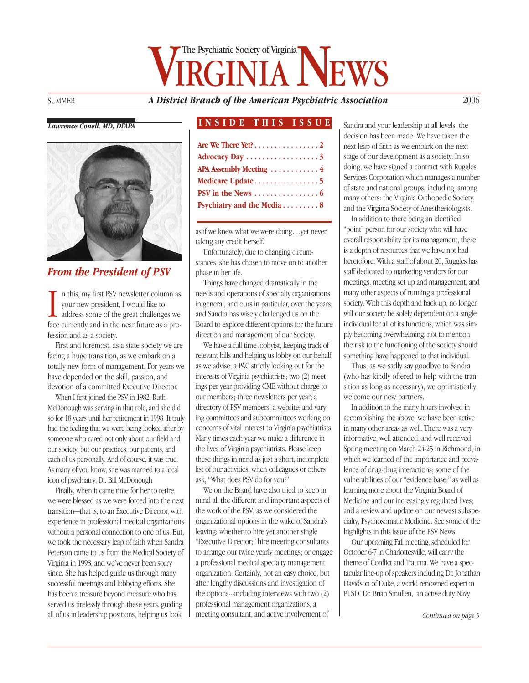# GINIA NEWS The Psychiatric Society of Virginia

SUMMER *A District Branch of the American Psychiatric Association* 2006

#### *Lawrence Conell, MD, DFAPA*



*From the President of PSV*

In this, my first PSV newsletter column as<br>your new president, I would like to<br>address some of the great challenges we<br>face currently and in the near future as a pron this, my first PSV newsletter column as your new president, I would like to address some of the great challenges we fession and as a society.

First and foremost, as a state society we are facing a huge transition, as we embark on a totally new form of management. For years we have depended on the skill, passion, and devotion of a committed Executive Director.

When I first joined the PSV in 1982, Ruth McDonough was serving in that role, and she did so for 18 years until her retirement in 1998. It truly had the feeling that we were being looked after by someone who cared not only about our field and our society, but our practices, our patients, and each of us personally. And of course, it was true. As many of you know, she was married to a local icon of psychiatry, Dr. Bill McDonough.

Finally, when it came time for her to retire, we were blessed as we were forced into the next transition—that is, to an Executive Director, with experience in professional medical organizations without a personal connection to one of us. But, we took the necessary leap of faith when Sandra Peterson came to us from the Medical Society of Virginia in 1998, and we've never been sorry since. She has helped guide us through many successful meetings and lobbying efforts. She has been a treasure beyond measure who has served us tirelessly through these years, guiding all of us in leadership positions, helping us look

#### **INSIDE THIS ISSUE**

| Are We There Yet? 2                              |  |
|--------------------------------------------------|--|
| Advocacy Day 3                                   |  |
| APA Assembly Meeting  4                          |  |
|                                                  |  |
| PSV in the News $\dots\dots\dots\dots\dots\dots$ |  |
| Psychiatry and the Media 8                       |  |

as if we knew what we were doing…yet never taking any credit herself.

Unfortunately, due to changing circumstances, she has chosen to move on to another phase in her life.

Things have changed dramatically in the needs and operations of specialty organizations in general, and ours in particular, over the years; and Sandra has wisely challenged us on the Board to explore different options for the future direction and management of our Society.

We have a full time lobbyist, keeping track of relevant bills and helping us lobby on our behalf as we advise; a PAC strictly looking out for the interests of Virginia psychiatrists; two (2) meetings per year providing CME without charge to our members; three newsletters per year; a directory of PSV members; a website; and varying committees and subcommittees working on concerns of vital interest to Virginia psychiatrists. Many times each year we make a difference in the lives of Virginia psychiatrists. Please keep these things in mind as just a short, incomplete list of our activities, when colleagues or others ask, "What does PSV do for you?"

We on the Board have also tried to keep in mind all the different and important aspects of the work of the PSV, as we considered the organizational options in the wake of Sandra's leaving: whether to hire yet another single "Executive Director;" hire meeting consultants to arrange our twice yearly meetings; or engage a professional medical specialty management organization. Certainly, not an easy choice, but after lengthy discussions and investigation of the options---including interviews with two (2) professional management organizations, a meeting consultant, and active involvement of

Sandra and your leadership at all levels, the decision has been made. We have taken the next leap of faith as we embark on the next stage of our development as a society. In so doing, we have signed a contract with Ruggles Services Corporation which manages a number of state and national groups, including, among many others: the Virginia Orthopedic Society, and the Virginia Society of Anesthesiologists.

In addition to there being an identified "point" person for our society who will have overall responsibility for its management, there is a depth of resources that we have not had heretofore. With a staff of about 20, Ruggles has staff dedicated to marketing vendors for our meetings, meeting set up and management, and many other aspects of running a professional society. With this depth and back up, no longer will our society be solely dependent on a single individual for all of its functions, which was simply becoming overwhelming, not to mention the risk to the functioning of the society should something have happened to that individual.

Thus, as we sadly say goodbye to Sandra (who has kindly offered to help with the transition as long as necessary), we optimistically welcome our new partners.

In addition to the many hours involved in accomplishing the above, we have been active in many other areas as well. There was a very informative, well attended, and well received Spring meeting on March 24-25 in Richmond, in which we learned of the importance and prevalence of drug-drug interactions; some of the vulnerabilities of our "evidence base;" as well as learning more about the Virginia Board of Medicine and our increasingly regulated lives; and a review and update on our newest subspecialty, Psychosomatic Medicine. See some of the highlights in this issue of the PSV News.

Our upcoming Fall meeting, scheduled for October 6-7 in Charlottesville, will carry the theme of Conflict and Trauma. We have a spectacular line-up of speakers including Dr. Jonathan Davidson of Duke, a world renowned expert in PTSD; Dr. Brian Smullen, an active duty Navy

*Continued on page 5*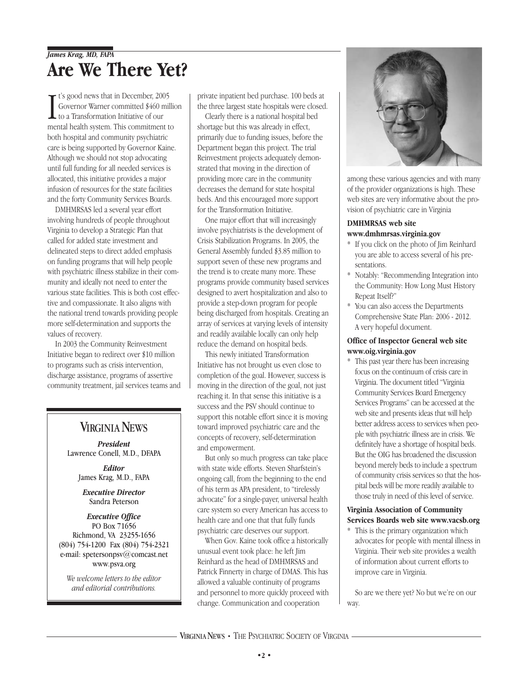### *James Krag, MD, FAPA* **Are We There Yet?**

It's good news that in December, 2005<br>Governor Warner committed \$460 milli<br>to a Transformation Initiative of our<br>mental health system. This commitment to  $\mathsf{r}$  t's good news that in December, 2005 Governor Warner committed \$460 million to a Transformation Initiative of our both hospital and community psychiatric care is being supported by Governor Kaine. Although we should not stop advocating until full funding for all needed services is allocated, this initiative provides a major infusion of resources for the state facilities and the forty Community Services Boards.

DMHMRSAS led a several year effort involving hundreds of people throughout Virginia to develop a Strategic Plan that called for added state investment and delineated steps to direct added emphasis on funding programs that will help people with psychiatric illness stabilize in their community and ideally not need to enter the various state facilities. This is both cost effective and compassionate. It also aligns with the national trend towards providing people more self-determination and supports the values of recovery.

In 2003 the Community Reinvestment Initiative began to redirect over \$10 million to programs such as crisis intervention, discharge assistance, programs of assertive community treatment, jail services teams and

### **VIRGINIA NEWS**

*President* Lawrence Conell, M.D., DFAPA

*Editor* James Krag, M.D., FAPA

*Executive Director* Sandra Peterson

#### *Executive Office* PO Box 71656 Richmond, VA 23255-1656 (804) 754-1200 Fax (804) 754-2321 e-mail: spetersonpsv@comcast.net www.psva.org

*We welcome letters to the editor and editorial contributions.*

private inpatient bed purchase. 100 beds at the three largest state hospitals were closed.

Clearly there is a national hospital bed shortage but this was already in effect, primarily due to funding issues, before the Department began this project. The trial Reinvestment projects adequately demonstrated that moving in the direction of providing more care in the community decreases the demand for state hospital beds. And this encouraged more support for the Transformation Initiative.

One major effort that will increasingly involve psychiatrists is the development of Crisis Stabilization Programs. In 2005, the General Assembly funded \$3.85 million to support seven of these new programs and the trend is to create many more. These programs provide community based services designed to avert hospitalization and also to provide a step-down program for people being discharged from hospitals. Creating an array of services at varying levels of intensity and readily available locally can only help reduce the demand on hospital beds.

This newly initiated Transformation Initiative has not brought us even close to completion of the goal. However, success is moving in the direction of the goal, not just reaching it. In that sense this initiative is a success and the PSV should continue to support this notable effort since it is moving toward improved psychiatric care and the concepts of recovery, self-determination and empowerment.

But only so much progress can take place with state wide efforts. Steven Sharfstein's ongoing call, from the beginning to the end of his term as APA president, to "tirelessly advocate" for a single-payer, universal health care system so every American has access to health care and one that that fully funds psychiatric care deserves our support.

When Gov. Kaine took office a historically unusual event took place: he left Jim Reinhard as the head of DMHMRSAS and Patrick Finnerty in charge of DMAS. This has allowed a valuable continuity of programs and personnel to more quickly proceed with change. Communication and cooperation



among these various agencies and with many of the provider organizations is high. These web sites are very informative about the provision of psychiatric care in Virginia

#### **DMHMRSAS web site www.dmhmrsas.virginia.gov**

- \* If you click on the photo of Jim Reinhard you are able to access several of his presentations.
- \* Notably: "Recommending Integration into the Community: How Long Must History Repeat Itself?"
- \* You can also access the Departments Comprehensive State Plan: 2006 - 2012. A very hopeful document.

#### **Office of Inspector General web site www.oig.virginia.gov**

\* This past year there has been increasing focus on the continuum of crisis care in Virginia. The document titled "Virginia Community Services Board Emergency Services Programs" can be accessed at the web site and presents ideas that will help better address access to services when people with psychiatric illness are in crisis. We definitely have a shortage of hospital beds. But the OIG has broadened the discussion beyond merely beds to include a spectrum of community crisis services so that the hospital beds will be more readily available to those truly in need of this level of service.

### **Virginia Association of Community Services Boards web site www.vacsb.org**

\* This is the primary organization which advocates for people with mental illness in Virginia. Their web site provides a wealth of information about current efforts to improve care in Virginia.

So are we there yet? No but we're on our way.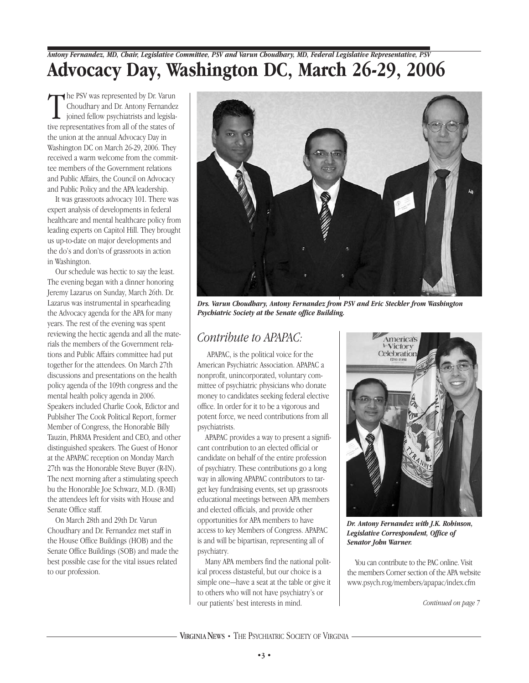## *Antony Fernandez, MD, Chair, Legislative Committee, PSV and Varun Choudhary, MD, Federal Legislative Representative, PSV* **Advocacy Day, Washington DC, March 26-29, 2006**

The PSV was represented by Dr. Varur<br>Choudhary and Dr. Antony Fernande<br>joined fellow psychiatrists and legisla<br>tive representatives from all of the states of the PSV was represented by Dr. Varun Choudhary and Dr. Antony Fernandez joined fellow psychiatrists and legislathe union at the annual Advocacy Day in Washington DC on March 26-29, 2006. They received a warm welcome from the committee members of the Government relations and Public Affairs, the Council on Advocacy and Public Policy and the APA leadership.

It was grassroots advocacy 101. There was expert analysis of developments in federal healthcare and mental healthcare policy from leading experts on Capitol Hill. They brought us up-to-date on major developments and the do's and don'ts of grassroots in action in Washington.

Our schedule was hectic to say the least. The evening began with a dinner honoring Jeremy Lazarus on Sunday, March 26th. Dr. Lazarus was instrumental in spearheading the Advocacy agenda for the APA for many years. The rest of the evening was spent reviewing the hectic agenda and all the materials the members of the Government relations and Public Affairs committee had put together for the attendees. On March 27th discussions and presentations on the health policy agenda of the 109th congress and the mental health policy agenda in 2006. Speakers included Charlie Cook, Edictor and Publsiher The Cook Political Report, former Member of Congress, the Honorable Billy Tauzin, PhRMA President and CEO, and other distinguished speakers. The Guest of Honor at the APAPAC reception on Monday March 27th was the Honorable Steve Buyer (R-IN). The next morning after a stimulating speech bu the Honorable Joe Schwarz, M.D. (R-MI) the attendees left for visits with House and Senate Office staff.

On March 28th and 29th Dr. Varun Choudhary and Dr. Fernandez met staff in the House Office Buildings (HOB) and the Senate Office Buildings (SOB) and made the best possible case for the vital issues related to our profession.



*Drs. Varun Choudhary, Antony Fernandez from PSV and Eric Steckler from Washington Psychiatric Society at the Senate office Building.*

### *Contribute to APAPAC:*

APAPAC, is the political voice for the American Psychiatric Association. APAPAC a nonprofit, unincorporated, voluntary committee of psychiatric physicians who donate money to candidates seeking federal elective office. In order for it to be a vigorous and potent force, we need contributions from all psychiatrists.

APAPAC provides a way to present a significant contribution to an elected official or candidate on behalf of the entire profession of psychiatry. These contributions go a long way in allowing APAPAC contributors to target key fundraising events, set up grassroots educational meetings between APA members and elected officials, and provide other opportunities for APA members to have access to key Members of Congress. APAPAC is and will be bipartisan, representing all of psychiatry.

Many APA members find the national political process distasteful, but our choice is a simple one—have a seat at the table or give it to others who will not have psychiatry's or our patients' best interests in mind.



*Dr. Antony Fernandez with J.K. Robinson, Legislative Correspondent, Office of Senator John Warner.*

You can contribute to the PAC online. Visit the members Corner section of the APA website www.psych.rog/members/apapac/index.cfm

*Continued on page 7*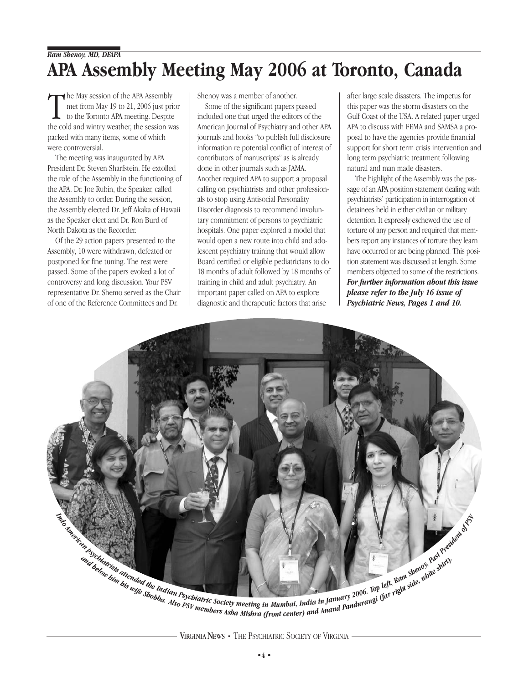## *Ram Shenoy, MD, DFAPA* **APA Assembly Meeting May 2006 at Toronto, Canada**

The May session of the APA Assembly<br>
met from May 19 to 21, 2006 just prior<br>
to the Toronto APA meeting. Despite<br>
the cold and wintry weather, the session was he May session of the APA Assembly met from May 19 to 21, 2006 just prior to the Toronto APA meeting. Despite packed with many items, some of which were controversial.

The meeting was inaugurated by APA President Dr. Steven Sharfstein. He extolled the role of the Assembly in the functioning of the APA. Dr. Joe Rubin, the Speaker, called the Assembly to order. During the session, the Assembly elected Dr. Jeff Akaka of Hawaii as the Speaker elect and Dr. Ron Burd of North Dakota as the Recorder.

Of the 29 action papers presented to the Assembly, 10 were withdrawn, defeated or postponed for fine tuning. The rest were passed. Some of the papers evoked a lot of controversy and long discussion. Your PSV representative Dr. Shemo served as the Chair of one of the Reference Committees and Dr.

Shenoy was a member of another.

Some of the significant papers passed included one that urged the editors of the American Journal of Psychiatry and other APA journals and books "to publish full disclosure information re potential conflict of interest of contributors of manuscripts" as is already done in other journals such as JAMA. Another required APA to support a proposal calling on psychiatrists and other professionals to stop using Antisocial Personality Disorder diagnosis to recommend involuntary commitment of persons to psychiatric hospitals. One paper explored a model that would open a new route into child and adolescent psychiatry training that would allow Board certified or eligible pediatricians to do 18 months of adult followed by 18 months of training in child and adult psychiatry. An important paper called on APA to explore diagnostic and therapeutic factors that arise

after large scale disasters. The impetus for this paper was the storm disasters on the Gulf Coast of the USA. A related paper urged APA to discuss with FEMA and SAMSA a proposal to have the agencies provide financial support for short term crisis intervention and long term psychiatric treatment following natural and man made disasters.

The highlight of the Assembly was the passage of an APA position statement dealing with psychiatrists' participation in interrogation of detainees held in either civilian or military detention. It expressly eschewed the use of torture of any person and required that members report any instances of torture they learn have occurred or are being planned. This position statement was discussed at length. Some members objected to some of the restrictions. *For further information about this issue please refer to the July 16 issue of Psychiatric News, Pages 1 and 10.* 

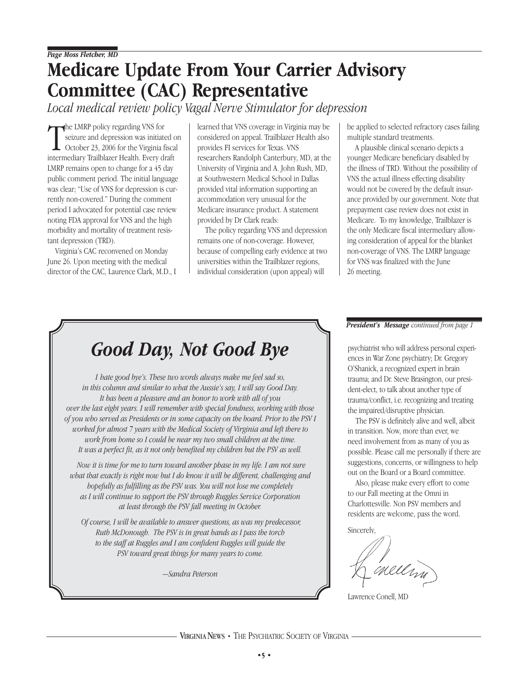# **Medicare Update From Your Carrier Advisory Committee (CAC) Representative**

*Local medical review policy Vagal Nerve Stimulator for depression*

The LMRP policy regarding VNS for<br>seizure and depression was initiated<br>october 23, 2006 for the Virginia fisca<br>intermediary Trailblazer Health. Every draft he LMRP policy regarding VNS for seizure and depression was initiated on October 23, 2006 for the Virginia fiscal LMRP remains open to change for a 45 day public comment period. The initial language was clear; "Use of VNS for depression is currently non-covered." During the comment period I advocated for potential case review noting FDA approval for VNS and the high morbidity and mortality of treatment resistant depression (TRD).

Virginia's CAC reconvened on Monday June 26. Upon meeting with the medical director of the CAC, Laurence Clark, M.D., I learned that VNS coverage in Virginia may be considered on appeal. Trailblazer Health also provides FI services for Texas. VNS researchers Randolph Canterbury, MD, at the University of Virginia and A. John Rush, MD, at Southwestern Medical School in Dallas provided vital information supporting an accommodation very unusual for the Medicare insurance product. A statement provided by Dr Clark reads:

The policy regarding VNS and depression remains one of non-coverage. However, because of compelling early evidence at two universities within the Trailblazer regions, individual consideration (upon appeal) will

be applied to selected refractory cases failing multiple standard treatments.

A plausible clinical scenario depicts a younger Medicare beneficiary disabled by the illness of TRD. Without the possibility of VNS the actual illness effecting disability would not be covered by the default insurance provided by our government. Note that prepayment case review does not exist in Medicare. To my knowledge, Trailblazer is the only Medicare fiscal intermediary allowing consideration of appeal for the blanket non-coverage of VNS. The LMRP language for VNS was finalized with the June 26 meeting.

# *Good Day, Not Good Bye*

*I hate good bye's. These two words always make me feel sad so, in this column and similar to what the Aussie's say, I will say Good Day. It has been a pleasure and an honor to work with all of you over the last eight years. I will remember with special fondness, working with those of you who served as Presidents or in some capacity on the board. Prior to the PSV I worked for almost 7 years with the Medical Society of Virginia and left there to work from home so I could be near my two small children at the time. It was a perfect fit, as it not only benefited my children but the PSV as well.*

*Now it is time for me to turn toward another phase in my life. I am not sure what that exactly is right now but I do know it will be different, challenging and hopefully as fulfilling as the PSV was. You will not lose me completely as I will continue to support the PSV through Ruggles Service Corporation at least through the PSV fall meeting in October.*

*Of course, I will be available to answer questions, as was my predecessor, Ruth McDonough. The PSV is in great hands as I pass the torch to the staff at Ruggles and I am confident Ruggles will guide the PSV toward great things for many years to come.*

*—Sandra Peterson*

#### *President's Message continued from page 1*

psychiatrist who will address personal experiences in War Zone psychiatry; Dr. Gregory O'Shanick, a recognized expert in brain trauma; and Dr. Steve Brasington, our president-elect, to talk about another type of trauma/conflict, i.e. recognizing and treating the impaired/disruptive physician.

The PSV is definitely alive and well, albeit in transition. Now, more than ever, we need involvement from as many of you as possible. Please call me personally if there are suggestions, concerns, or willingness to help out on the Board or a Board committee.

Also, please make every effort to come to our Fall meeting at the Omni in Charlottesville. Non PSV members and residents are welcome, pass the word.

Sincerely,

enellin

Lawrence Conell, MD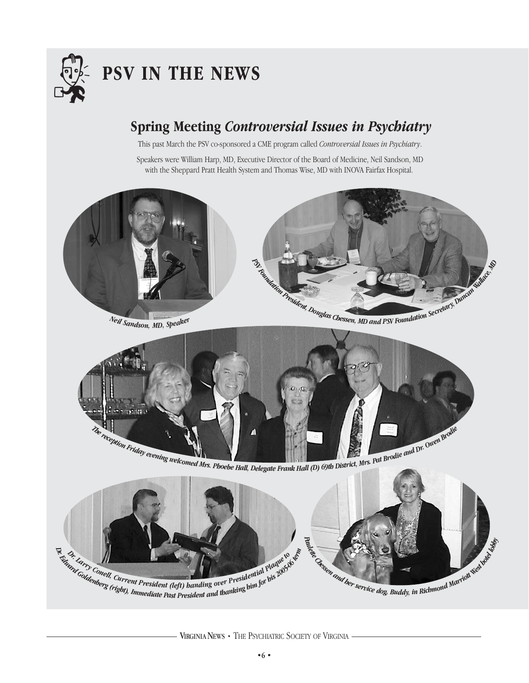

# . **PSV IN THE NEWS**

## **Spring Meeting** *Controversial Issues in Psychiatry*

This past March the PSV co-sponsored a CME program called *Controversial Issues in Psychiatry*.

Speakers were William Harp, MD, Executive Director of the Board of Medicine, Neil Sandson, MD with the Sheppard Pratt Health System and Thomas Wise, MD with INOVA Fairfax Hospital.



*<sup>N</sup>ei<sup>l</sup> <sup>S</sup>and<sup>s</sup>on, <sup>M</sup>D, <sup>S</sup>peake<sup>r</sup>*



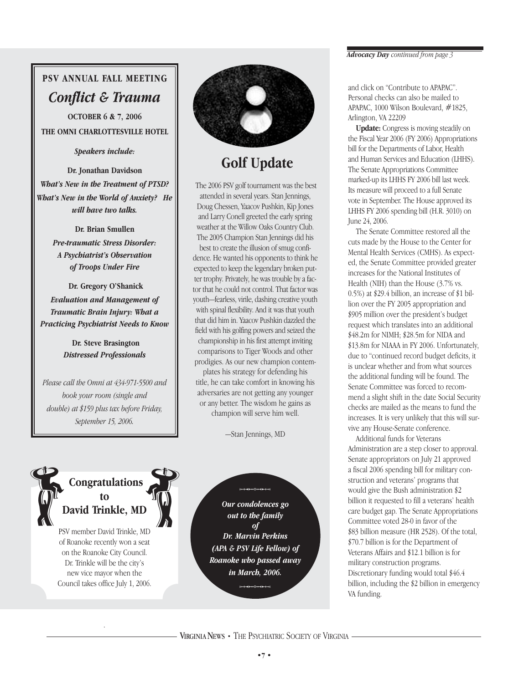## **PSV ANNUAL FALL MEETING** *Conflict & Trauma*

**OCTOBER 6 & 7, 2006 THE OMNI CHARLOTTESVILLE HOTEL**

*Speakers include:* 

**Dr. Jonathan Davidson**  *What's New in the Treatment of PTSD? What's New in the World of Anxiety? He will have two talks.*

> **Dr. Brian Smullen**  *Pre-traumatic Stress Disorder: A Psychiatrist's Observation of Troops Under Fire*

**Dr. Gregory O'Shanick**  *Evaluation and Management of Traumatic Brain Injury: What a Practicing Psychiatrist Needs to Know*

> **Dr. Steve Brasington**  *Distressed Professionals*

*Please call the Omni at 434-971-5500 and book your room (single and double) at \$159 plus tax before Friday, September 15, 2006.*



## **Golf Update**

The 2006 PSV golf tournament was the best attended in several years. Stan Jennings, Doug Chessen, Yaacov Pushkin, Kip Jones and Larry Conell greeted the early spring weather at the Willow Oaks Country Club. The 2005 Champion Stan Jennings did his best to create the illusion of smug confidence. He wanted his opponents to think he expected to keep the legendary broken putter trophy. Privately, he was trouble by a factor that he could not control. That factor was youth—fearless, virile, dashing creative youth with spinal flexibility. And it was that youth that did him in. Yaacov Pushkin dazzled the field with his golfing powers and seized the championship in his first attempt inviting comparisons to Tiger Woods and other prodigies. As our new champion contem-

plates his strategy for defending his title, he can take comfort in knowing his adversaries are not getting any younger or any better. The wisdom he gains as champion will serve him well.

—Stan Jennings, MD



PSV member David Trinkle, MD of Roanoke recently won a seat on the Roanoke City Council. Dr. Trinkle will be the city's new vice mayor when the Council takes office July 1, 2006.

.

*Our condolences go out to the family of Dr. Marvin Perkins (APA & PSV Life Fellow) of Roanoke who passed away in March, 2006.*  $10.0613$ 

#### *Advocacy Day continued from page 3*

and click on "Contribute to APAPAC". Personal checks can also be mailed to APAPAC, 1000 Wilson Boulevard, #1825, Arlington, VA 22209

**Update:** Congress is moving steadily on the Fiscal Year 2006 (FY 2006) Appropriations bill for the Departments of Labor, Health and Human Services and Education (LHHS). The Senate Appropriations Committee marked-up its LHHS FY 2006 bill last week. Its measure will proceed to a full Senate vote in September. The House approved its LHHS FY 2006 spending bill (H.R. 3010) on June 24, 2006.

The Senate Committee restored all the cuts made by the House to the Center for Mental Health Services (CMHS). As expected, the Senate Committee provided greater increases for the National Institutes of Health (NIH) than the House (3.7% vs. 0.5%) at \$29.4 billion, an increase of \$1 billion over the FY 2005 appropriation and \$905 million over the president's budget request which translates into an additional \$48.2m for NIMH; \$28.5m for NIDA and \$13.8m for NIAAA in FY 2006. Unfortunately, due to "continued record budget deficits, it is unclear whether and from what sources the additional funding will be found. The Senate Committee was forced to recommend a slight shift in the date Social Security checks are mailed as the means to fund the increases. It is very unlikely that this will survive any House-Senate conference.

Additional funds for Veterans Administration are a step closer to approval. Senate appropriators on July 21 approved a fiscal 2006 spending bill for military construction and veterans' programs that would give the Bush administration \$2 billion it requested to fill a veterans' health care budget gap. The Senate Appropriations Committee voted 28-0 in favor of the \$83 billion measure (HR 2528). Of the total, \$70.7 billion is for the Department of Veterans Affairs and \$12.1 billion is for military construction programs. Discretionary funding would total \$46.4 billion, including the \$2 billion in emergency VA funding.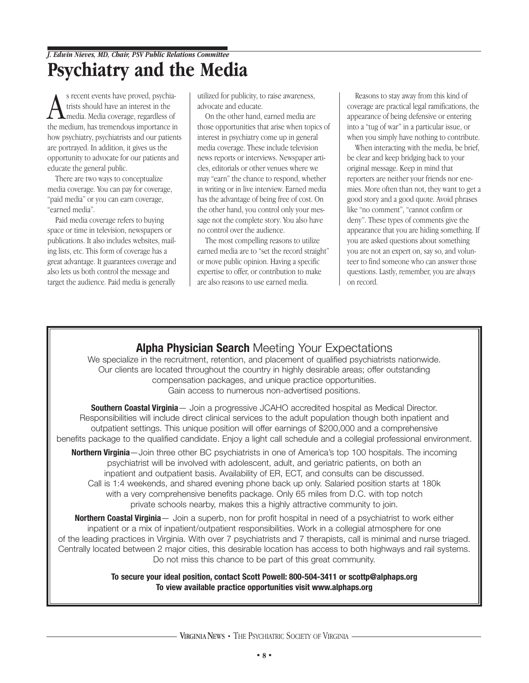## *J. Edwin Nieves, MD, Chair, PSV Public Relations Committee* **Psychiatry and the Media**

S recent events have proved, psychia-<br>trists should have an interest in the<br>media. Media coverage, regardless of<br>the medium, has tremendous importance in s recent events have proved, psychiatrists should have an interest in the media. Media coverage, regardless of how psychiatry, psychiatrists and our patients are portrayed. In addition, it gives us the opportunity to advocate for our patients and educate the general public.

There are two ways to conceptualize media coverage. You can pay for coverage, "paid media" or you can earn coverage, "earned media".

Paid media coverage refers to buying space or time in television, newspapers or publications. It also includes websites, mailing lists, etc. This form of coverage has a great advantage. It guarantees coverage and also lets us both control the message and target the audience. Paid media is generally

utilized for publicity, to raise awareness, advocate and educate.

On the other hand, earned media are those opportunities that arise when topics of interest in psychiatry come up in general media coverage. These include television news reports or interviews. Newspaper articles, editorials or other venues where we may "earn" the chance to respond, whether in writing or in live interview. Earned media has the advantage of being free of cost. On the other hand, you control only your message not the complete story. You also have no control over the audience.

The most compelling reasons to utilize earned media are to "set the record straight" or move public opinion. Having a specific expertise to offer, or contribution to make are also reasons to use earned media.

Reasons to stay away from this kind of coverage are practical legal ramifications, the appearance of being defensive or entering into a "tug of war" in a particular issue, or when you simply have nothing to contribute.

When interacting with the media, be brief, be clear and keep bridging back to your original message. Keep in mind that reporters are neither your friends nor enemies. More often than not, they want to get a good story and a good quote. Avoid phrases like "no comment", "cannot confirm or deny". These types of comments give the appearance that you are hiding something. If you are asked questions about something you are not an expert on, say so, and volunteer to find someone who can answer those questions. Lastly, remember, you are always on record.

### **Alpha Physician Search** Meeting Your Expectations

We specialize in the recruitment, retention, and placement of qualified psychiatrists nationwide. Our clients are located throughout the country in highly desirable areas; offer outstanding compensation packages, and unique practice opportunities. Gain access to numerous non-advertised positions.

**Southern Coastal Virginia**— Join a progressive JCAHO accredited hospital as Medical Director. Responsibilities will include direct clinical services to the adult population though both inpatient and outpatient settings. This unique position will offer earnings of \$200,000 and a comprehensive benefits package to the qualified candidate. Enjoy a light call schedule and a collegial professional environment.

**Northern Virginia**—Join three other BC psychiatrists in one of America's top 100 hospitals. The incoming psychiatrist will be involved with adolescent, adult, and geriatric patients, on both an inpatient and outpatient basis. Availability of ER, ECT, and consults can be discussed. Call is 1:4 weekends, and shared evening phone back up only. Salaried position starts at 180k with a very comprehensive benefits package. Only 65 miles from D.C. with top notch private schools nearby, makes this a highly attractive community to join.

**Northern Coastal Virginia**— Join a superb, non for profit hospital in need of a psychiatrist to work either inpatient or a mix of inpatient/outpatient responsibilities. Work in a collegial atmosphere for one of the leading practices in Virginia. With over 7 psychiatrists and 7 therapists, call is minimal and nurse triaged. Centrally located between 2 major cities, this desirable location has access to both highways and rail systems. Do not miss this chance to be part of this great community.

> **To secure your ideal position, contact Scott Powell: 800-504-3411 or scottp@alphaps.org To view available practice opportunities visit www.alphaps.org**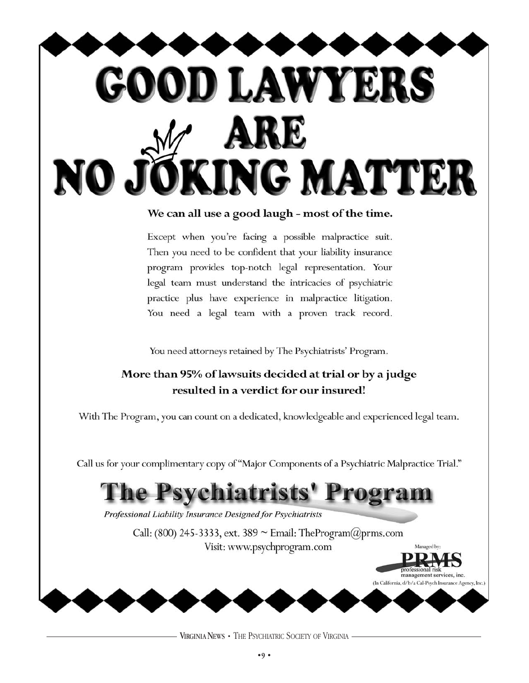

### We can all use a good laugh - most of the time.

Except when you're facing a possible malpractice suit. Then you need to be confident that your liability insurance program provides top-notch legal representation. Your legal team must understand the intricacies of psychiatric practice plus have experience in malpractice litigation. You need a legal team with a proven track record.

You need attorneys retained by The Psychiatrists' Program.

### More than 95% of lawsuits decided at trial or by a judge resulted in a verdict for our insured!

With The Program, you can count on a dedicated, knowledgeable and experienced legal team.

Call us for your complimentary copy of "Major Components of a Psychiatric Malpractice Trial."

# Psychiatrists' Progra

Professional Liability Insurance Designed for Psychiatrists

Call: (800) 245-3333, ext. 389  $\sim$  Email: TheProgram( $@prms.com$ Visit: www.psychprogram.com

Managed by:

rofessional risk management services, inc. (In California, d/b/a Cal-Psych Insurance Agency, Inc.)